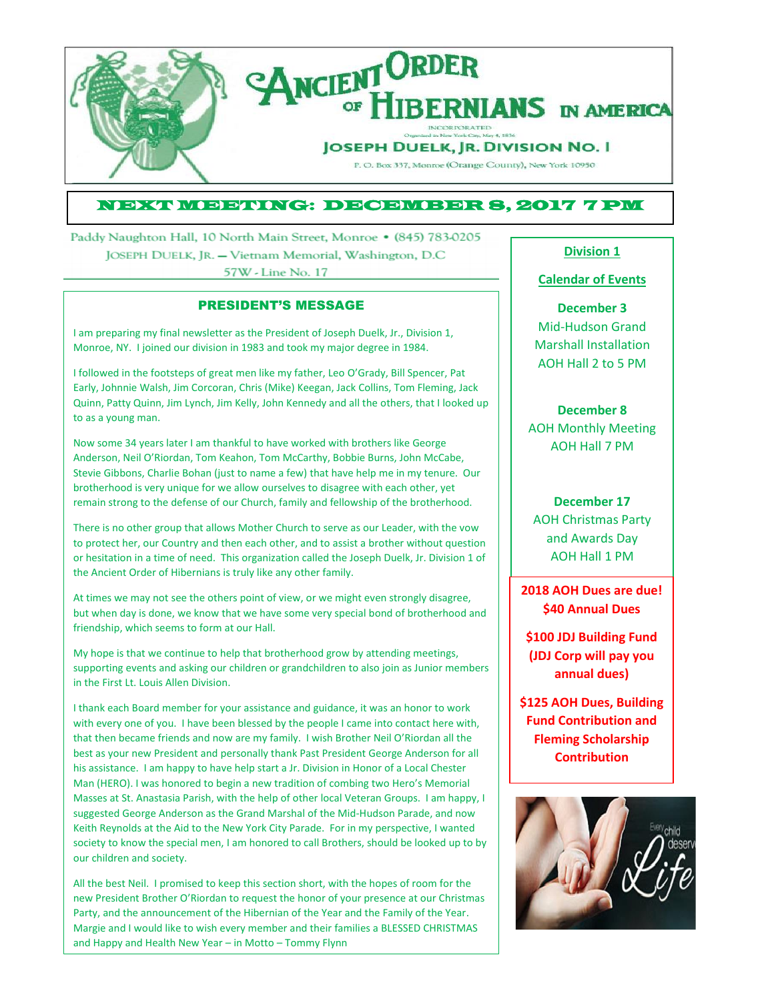

## NEXT MEETING: DECEMBER 8, 2017 7 PM

Paddy Naughton Hall, 10 North Main Street, Monroe • (845) 783-0205 JOSEPH DUELK, JR. - Vietnam Memorial, Washington, D.C. 57W - Line No. 17

## PRESIDENT'S MESSAGE

I am preparing my final newsletter as the President of Joseph Duelk, Jr., Division 1, Monroe, NY. I joined our division in 1983 and took my major degree in 1984.

I followed in the footsteps of great men like my father, Leo O'Grady, Bill Spencer, Pat Early, Johnnie Walsh, Jim Corcoran, Chris (Mike) Keegan, Jack Collins, Tom Fleming, Jack Quinn, Patty Quinn, Jim Lynch, Jim Kelly, John Kennedy and all the others, that I looked up to as a young man.

Now some 34 years later I am thankful to have worked with brothers like George Anderson, Neil O'Riordan, Tom Keahon, Tom McCarthy, Bobbie Burns, John McCabe, Stevie Gibbons, Charlie Bohan (just to name a few) that have help me in my tenure. Our brotherhood is very unique for we allow ourselves to disagree with each other, yet remain strong to the defense of our Church, family and fellowship of the brotherhood.

There is no other group that allows Mother Church to serve as our Leader, with the vow to protect her, our Country and then each other, and to assist a brother without question or hesitation in a time of need. This organization called the Joseph Duelk, Jr. Division 1 of the Ancient Order of Hibernians is truly like any other family.

At times we may not see the others point of view, or we might even strongly disagree, but when day is done, we know that we have some very special bond of brotherhood and friendship, which seems to form at our Hall.

My hope is that we continue to help that brotherhood grow by attending meetings, supporting events and asking our children or grandchildren to also join as Junior members in the First Lt. Louis Allen Division.

I thank each Board member for your assistance and guidance, it was an honor to work with every one of you. I have been blessed by the people I came into contact here with, that then became friends and now are my family. I wish Brother Neil O'Riordan all the best as your new President and personally thank Past President George Anderson for all his assistance. I am happy to have help start a Jr. Division in Honor of a Local Chester Man (HERO). I was honored to begin a new tradition of combing two Hero's Memorial Masses at St. Anastasia Parish, with the help of other local Veteran Groups. I am happy, I suggested George Anderson as the Grand Marshal of the Mid-Hudson Parade, and now Keith Reynolds at the Aid to the New York City Parade. For in my perspective, I wanted society to know the special men, I am honored to call Brothers, should be looked up to by our children and society.

All the best Neil. I promised to keep this section short, with the hopes of room for the new President Brother O'Riordan to request the honor of your presence at our Christmas Party, and the announcement of the Hibernian of the Year and the Family of the Year. Margie and I would like to wish every member and their families a BLESSED CHRISTMAS and Happy and Health New Year – in Motto – Tommy Flynn

### **Division 1**

### **Calendar of Events**

**December 3** Mid-Hudson Grand Marshall Installation AOH Hall 2 to 5 PM

## **December 8**

AOH Monthly Meeting AOH Hall 7 PM

## **December 17**

AOH Christmas Party and Awards Day AOH Hall 1 PM

**2018 AOH Dues are due! \$40 Annual Dues**

**\$100 JDJ Building Fund (JDJ Corp will pay you annual dues)**

**\$125 AOH Dues, Building Fund Contribution and Fleming Scholarship Contribution**

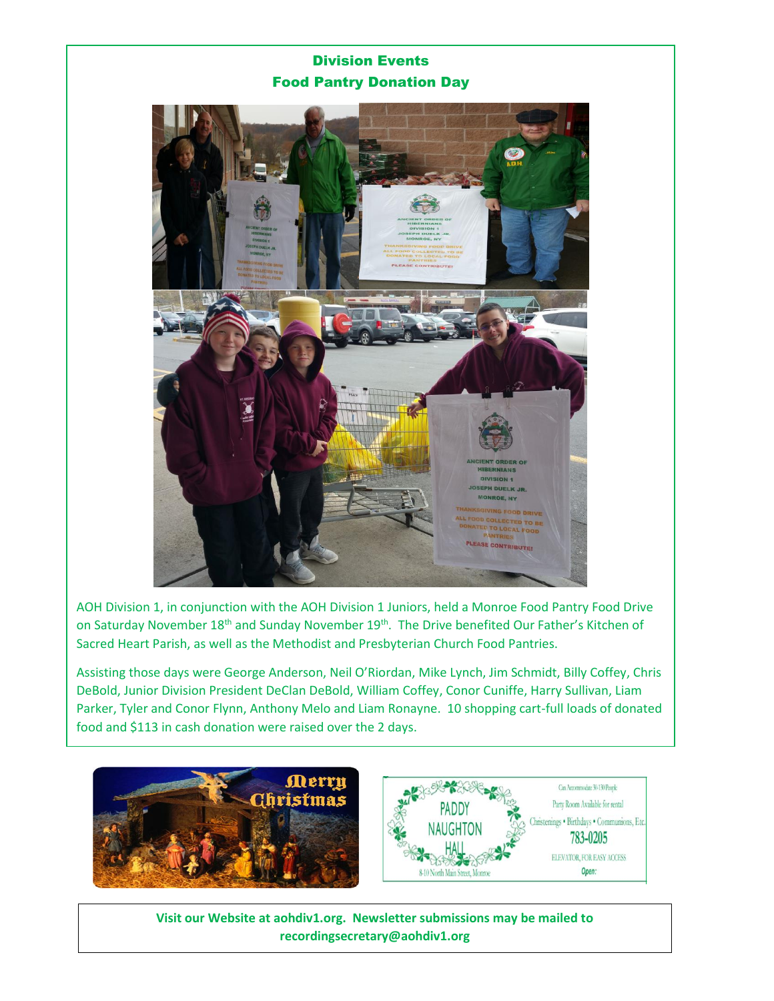# Division Events Food Pantry Donation Day



AOH Division 1, in conjunction with the AOH Division 1 Juniors, held a Monroe Food Pantry Food Drive on Saturday November 18<sup>th</sup> and Sunday November 19<sup>th</sup>. The Drive benefited Our Father's Kitchen of Sacred Heart Parish, as well as the Methodist and Presbyterian Church Food Pantries.

Assisting those days were George Anderson, Neil O'Riordan, Mike Lynch, Jim Schmidt, Billy Coffey, Chris DeBold, Junior Division President DeClan DeBold, William Coffey, Conor Cuniffe, Harry Sullivan, Liam Parker, Tyler and Conor Flynn, Anthony Melo and Liam Ronayne. 10 shopping cart-full loads of donated food and \$113 in cash donation were raised over the 2 days.



**Visit our Website at aohdiv1.org. Newsletter submissions may be mailed to recordingsecretary@aohdiv1.org**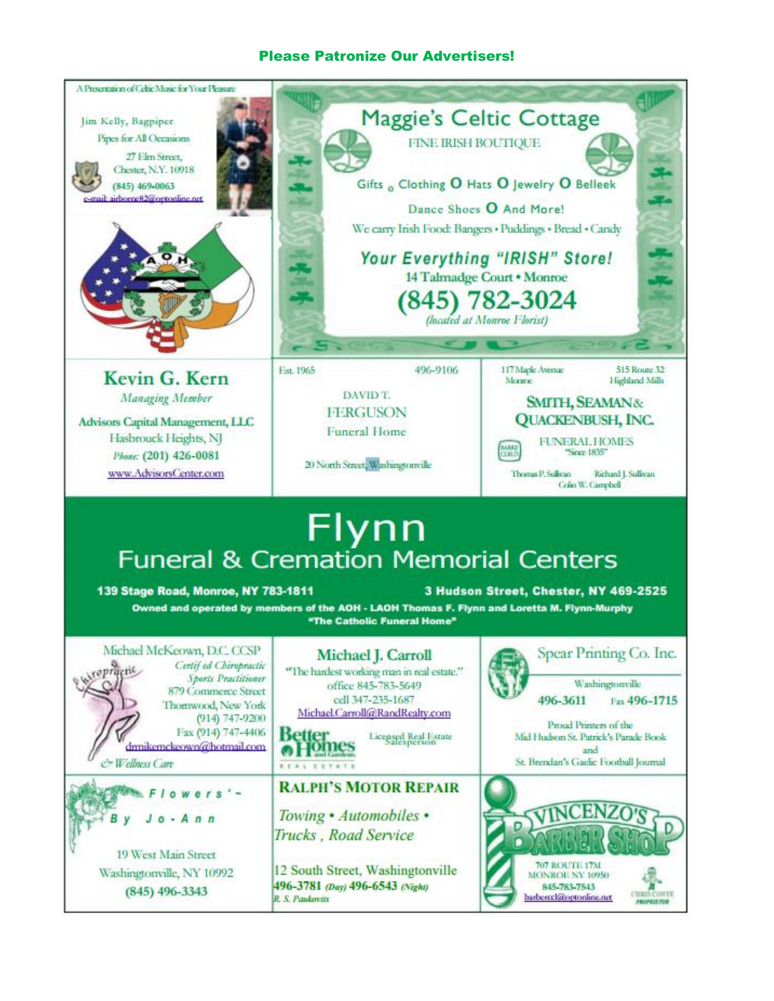## Please Patronize Our Advertisers!